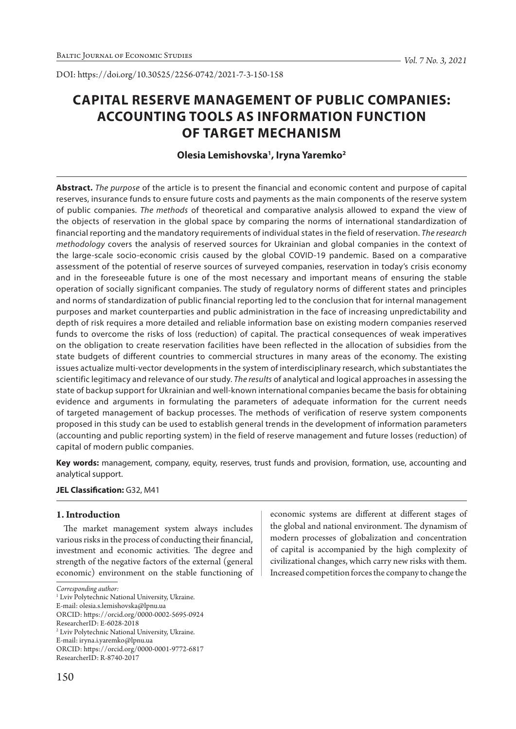# **CAPITAL RESERVE MANAGEMENT OF PUBLIC COMPANIES:**

# **ACCOUNTING TOOLS AS INFORMATION FUNCTION OF TARGET MECHANISM**

# **Olesia Lemishovska1 , Iryna Yaremko2**

**Abstract.** *The purpose* of the article is to present the financial and economic content and purpose of capital reserves, insurance funds to ensure future costs and payments as the main components of the reserve system of public companies. *The methods* of theoretical and comparative analysis allowed to expand the view of the objects of reservation in the global space by comparing the norms of international standardization of financial reporting and the mandatory requirements of individual states in the field of reservation. *The research methodology* covers the analysis of reserved sources for Ukrainian and global companies in the context of the large-scale socio-economic crisis caused by the global COVID-19 pandemic. Based on a comparative assessment of the potential of reserve sources of surveyed companies, reservation in today's crisis economy and in the foreseeable future is one of the most necessary and important means of ensuring the stable operation of socially significant companies. The study of regulatory norms of different states and principles and norms of standardization of public financial reporting led to the conclusion that for internal management purposes and market counterparties and public administration in the face of increasing unpredictability and depth of risk requires a more detailed and reliable information base on existing modern companies reserved funds to overcome the risks of loss (reduction) of capital. The practical consequences of weak imperatives on the obligation to create reservation facilities have been reflected in the allocation of subsidies from the state budgets of different countries to commercial structures in many areas of the economy. The existing issues actualize multi-vector developments in the system of interdisciplinary research, which substantiates the scientific legitimacy and relevance of our study. *The results* of analytical and logical approaches in assessing the state of backup support for Ukrainian and well-known international companies became the basis for obtaining evidence and arguments in formulating the parameters of adequate information for the current needs of targeted management of backup processes. The methods of verification of reserve system components proposed in this study can be used to establish general trends in the development of information parameters (accounting and public reporting system) in the field of reserve management and future losses (reduction) of capital of modern public companies.

**Key words:** management, company, equity, reserves, trust funds and provision, formation, use, accounting and analytical support.

#### **JEL Classification:** G32, М41

#### **1. Introduction**

The market management system always includes various risks in the process of conducting their financial, investment and economic activities. The degree and strength of the negative factors of the external (general economic) environment on the stable functioning of

ORCID: https://orcid.org/0000-0001-9772-6817

economic systems are different at different stages of the global and national environment. The dynamism of modern processes of globalization and concentration of capital is accompanied by the high complexity of civilizational changes, which carry new risks with them. Increased competition forces the company to change the

*Corresponding author:*

<sup>&</sup>lt;sup>1</sup> Lviv Polytechnic National University, Ukraine.

E-mail: olesia.s.lemishovska@lpnu.ua

ORCID: https://orcid.org/0000-0002-5695-0924

ResearcherID: E-6028-2018

<sup>2</sup> Lviv Polytechnic National University, Ukraine.

E-mail: iryna.i.yaremko@lpnu.ua

ResearcherID: R-8740-2017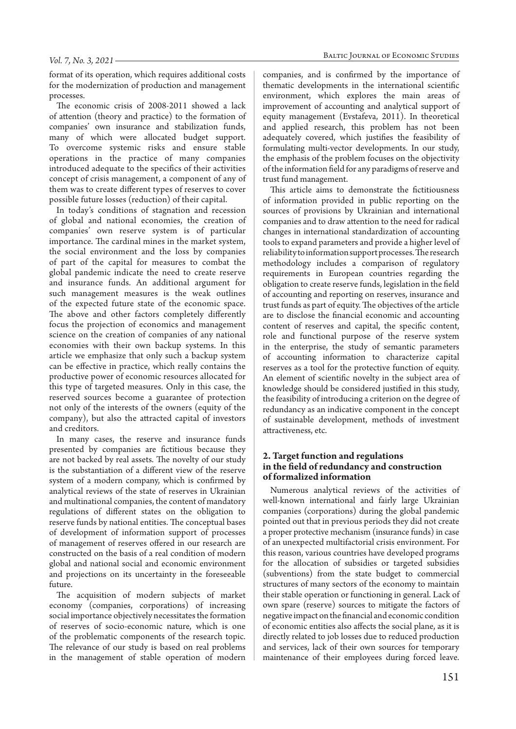format of its operation, which requires additional costs for the modernization of production and management processes.

The economic crisis of 2008-2011 showed a lack of attention (theory and practice) to the formation of companies' own insurance and stabilization funds, many of which were allocated budget support. To overcome systemic risks and ensure stable operations in the practice of many companies introduced adequate to the specifics of their activities concept of crisis management, a component of any of them was to create different types of reserves to cover possible future losses (reduction) of their capital.

In today's conditions of stagnation and recession of global and national economies, the creation of companies' own reserve system is of particular importance. The cardinal mines in the market system, the social environment and the loss by companies of part of the capital for measures to combat the global pandemic indicate the need to create reserve and insurance funds. An additional argument for such management measures is the weak outlines of the expected future state of the economic space. The above and other factors completely differently focus the projection of economics and management science on the creation of companies of any national economies with their own backup systems. In this article we emphasize that only such a backup system can be effective in practice, which really contains the productive power of economic resources allocated for this type of targeted measures. Only in this case, the reserved sources become a guarantee of protection not only of the interests of the owners (equity of the company), but also the attracted capital of investors and creditors.

In many cases, the reserve and insurance funds presented by companies are fictitious because they are not backed by real assets. The novelty of our study is the substantiation of a different view of the reserve system of a modern company, which is confirmed by analytical reviews of the state of reserves in Ukrainian and multinational companies, the content of mandatory regulations of different states on the obligation to reserve funds by national entities. The conceptual bases of development of information support of processes of management of reserves offered in our research are constructed on the basis of a real condition of modern global and national social and economic environment and projections on its uncertainty in the foreseeable future.

The acquisition of modern subjects of market economy (companies, corporations) of increasing social importance objectively necessitates the formation of reserves of socio-economic nature, which is one of the problematic components of the research topic. The relevance of our study is based on real problems in the management of stable operation of modern companies, and is confirmed by the importance of thematic developments in the international scientific environment, which explores the main areas of improvement of accounting and analytical support of equity management (Evstafeva, 2011). In theoretical and applied research, this problem has not been adequately covered, which justifies the feasibility of formulating multi-vector developments. In our study, the emphasis of the problem focuses on the objectivity of the information field for any paradigms of reserve and trust fund management.

This article aims to demonstrate the fictitiousness of information provided in public reporting on the sources of provisions by Ukrainian and international companies and to draw attention to the need for radical changes in international standardization of accounting tools to expand parameters and provide a higher level of reliability to information support processes. The research methodology includes a comparison of regulatory requirements in European countries regarding the obligation to create reserve funds, legislation in the field of accounting and reporting on reserves, insurance and trust funds as part of equity. The objectives of the article are to disclose the financial economic and accounting content of reserves and capital, the specific content, role and functional purpose of the reserve system in the enterprise, the study of semantic parameters of accounting information to characterize capital reserves as a tool for the protective function of equity. An element of scientific novelty in the subject area of knowledge should be considered justified in this study, the feasibility of introducing a criterion on the degree of redundancy as an indicative component in the concept of sustainable development, methods of investment attractiveness, etc.

#### **2. Target function and regulations in the field of redundancy and construction of formalized information**

Numerous analytical reviews of the activities of well-known international and fairly large Ukrainian companies (corporations) during the global pandemic pointed out that in previous periods they did not create a proper protective mechanism (insurance funds) in case of an unexpected multifactorial crisis environment. For this reason, various countries have developed programs for the allocation of subsidies or targeted subsidies (subventions) from the state budget to commercial structures of many sectors of the economy to maintain their stable operation or functioning in general. Lack of own spare (reserve) sources to mitigate the factors of negative impact on the financial and economic condition of economic entities also affects the social plane, as it is directly related to job losses due to reduced production and services, lack of their own sources for temporary maintenance of their employees during forced leave.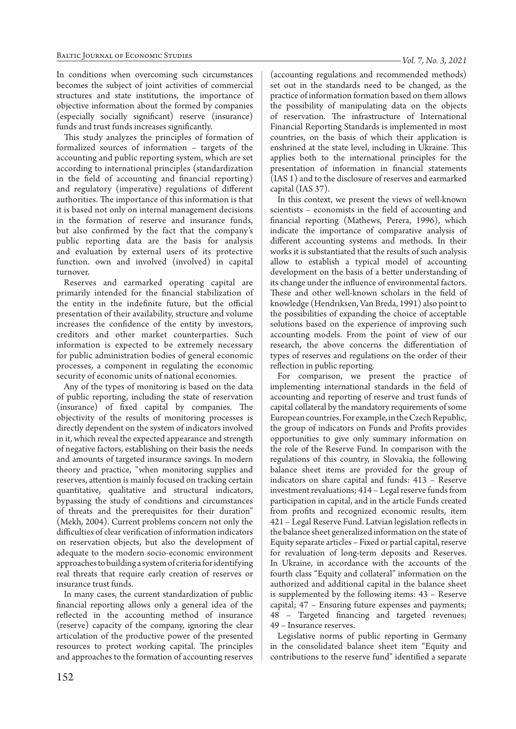In conditions when overcoming such circumstances becomes the subject of joint activities of commercial structures and state institutions, the importance of objective information about the formed by companies (especially socially significant) reserve (insurance) funds and trust funds increases significantly.

This study analyzes the principles of formation of formalized sources of information – targets of the accounting and public reporting system, which are set according to international principles (standardization in the field of accounting and financial reporting) and regulatory (imperative) regulations of different authorities. The importance of this information is that it is based not only on internal management decisions in the formation of reserve and insurance funds, but also confirmed by the fact that the company's public reporting data are the basis for analysis and evaluation by external users of its protective function. own and involved (involved) in capital turnover.

Reserves and earmarked operating capital are primarily intended for the financial stabilization of the entity in the indefinite future, but the official presentation of their availability, structure and volume increases the confidence of the entity by investors, creditors and other market counterparties. Such information is expected to be extremely necessary for public administration bodies of general economic processes, a component in regulating the economic security of economic units of national economies.

Any of the types of monitoring is based on the data of public reporting, including the state of reservation (insurance) of fixed capital by companies. The objectivity of the results of monitoring processes is directly dependent on the system of indicators involved in it, which reveal the expected appearance and strength of negative factors, establishing on their basis the needs and amounts of targeted insurance savings. In modern theory and practice, "when monitoring supplies and reserves, attention is mainly focused on tracking certain quantitative, qualitative and structural indicators, bypassing the study of conditions and circumstances of threats and the prerequisites for their duration" (Mekh, 2004). Current problems concern not only the difficulties of clear verification of information indicators on reservation objects, but also the development of adequate to the modern socio-economic environment approaches to building a system of criteria for identifying real threats that require early creation of reserves or insurance trust funds.

In many cases, the current standardization of public financial reporting allows only a general idea of the reflected in the accounting method of insurance (reserve) capacity of the company, ignoring the clear articulation of the productive power of the presented resources to protect working capital. The principles and approaches to the formation of accounting reserves

countries, on the basis of which their application is enshrined at the state level, including in Ukraine. This applies both to the international principles for the presentation of information in financial statements (IAS 1) and to the disclosure of reserves and earmarked capital (IAS 37). In this context, we present the views of well-known scientists – economists in the field of accounting and financial reporting (Mathews, Perera, 1996), which indicate the importance of comparative analysis of different accounting systems and methods. In their

works it is substantiated that the results of such analysis allow to establish a typical model of accounting development on the basis of a better understanding of its change under the influence of environmental factors. These and other well-known scholars in the field of knowledge (Hendriksen, Van Breda, 1991) also point to the possibilities of expanding the choice of acceptable solutions based on the experience of improving such accounting models. From the point of view of our research, the above concerns the differentiation of types of reserves and regulations on the order of their reflection in public reporting.

(accounting regulations and recommended methods) set out in the standards need to be changed, as the practice of information formation based on them allows the possibility of manipulating data on the objects of reservation. The infrastructure of International Financial Reporting Standards is implemented in most

For comparison, we present the practice of implementing international standards in the field of accounting and reporting of reserve and trust funds of capital collateral by the mandatory requirements of some European countries. For example, in the Czech Republic, the group of indicators on Funds and Profits provides opportunities to give only summary information on the role of the Reserve Fund. In comparison with the regulations of this country, in Slovakia, the following balance sheet items are provided for the group of indicators on share capital and funds: 413 – Reserve investment revaluations; 414 – Legal reserve funds from participation in capital, and in the article Funds created from profits and recognized economic results, item 421 – Legal Reserve Fund. Latvian legislation reflects in the balance sheet generalized information on the state of Equity separate articles – Fixed or partial capital, reserve for revaluation of long-term deposits and Reserves. In Ukraine, in accordance with the accounts of the fourth class "Equity and collateral" information on the authorized and additional capital in the balance sheet is supplemented by the following items: 43 – Reserve capital; 47 – Ensuring future expenses and payments; 48 – Targeted financing and targeted revenues; 49 – Insurance reserves.

Legislative norms of public reporting in Germany in the consolidated balance sheet item "Equity and contributions to the reserve fund" identified a separate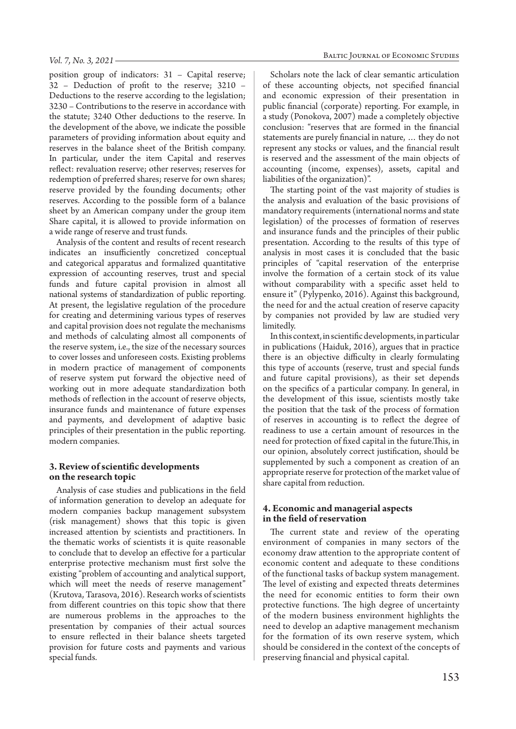position group of indicators: 31 – Capital reserve; 32 – Deduction of profit to the reserve; 3210 – Deductions to the reserve according to the legislation; 3230 – Contributions to the reserve in accordance with the statute; 3240 Other deductions to the reserve. In the development of the above, we indicate the possible parameters of providing information about equity and reserves in the balance sheet of the British company. In particular, under the item Capital and reserves reflect: revaluation reserve; other reserves; reserves for redemption of preferred shares; reserve for own shares; reserve provided by the founding documents; other reserves. According to the possible form of a balance sheet by an American company under the group item Share capital, it is allowed to provide information on a wide range of reserve and trust funds.

Analysis of the content and results of recent research indicates an insufficiently concretized conceptual and categorical apparatus and formalized quantitative expression of accounting reserves, trust and special funds and future capital provision in almost all national systems of standardization of public reporting. At present, the legislative regulation of the procedure for creating and determining various types of reserves and capital provision does not regulate the mechanisms and methods of calculating almost all components of the reserve system, i.e., the size of the necessary sources to cover losses and unforeseen costs. Existing problems in modern practice of management of components of reserve system put forward the objective need of working out in more adequate standardization both methods of reflection in the account of reserve objects, insurance funds and maintenance of future expenses and payments, and development of adaptive basic principles of their presentation in the public reporting. modern companies.

#### **3. Review of scientific developments on the research topic**

Analysis of case studies and publications in the field of information generation to develop an adequate for modern companies backup management subsystem (risk management) shows that this topic is given increased attention by scientists and practitioners. In the thematic works of scientists it is quite reasonable to conclude that to develop an effective for a particular enterprise protective mechanism must first solve the existing "problem of accounting and analytical support, which will meet the needs of reserve management" (Krutova, Tarasova, 2016). Research works of scientists from different countries on this topic show that there are numerous problems in the approaches to the presentation by companies of their actual sources to ensure reflected in their balance sheets targeted provision for future costs and payments and various special funds.

Scholars note the lack of clear semantic articulation of these accounting objects, not specified financial and economic expression of their presentation in public financial (corporate) reporting. For example, in a study (Ponokova, 2007) made a completely objective conclusion: "reserves that are formed in the financial statements are purely financial in nature, … they do not represent any stocks or values, and the financial result is reserved and the assessment of the main objects of accounting (income, expenses), assets, capital and liabilities of the organization)".

The starting point of the vast majority of studies is the analysis and evaluation of the basic provisions of mandatory requirements (international norms and state legislation) of the processes of formation of reserves and insurance funds and the principles of their public presentation. According to the results of this type of analysis in most cases it is concluded that the basic principles of "capital reservation of the enterprise involve the formation of a certain stock of its value without comparability with a specific asset held to ensure it" (Pylypenko, 2016). Against this background, the need for and the actual creation of reserve capacity by companies not provided by law are studied very limitedly.

In this context, in scientific developments, in particular in publications (Haiduk, 2016), argues that in practice there is an objective difficulty in clearly formulating this type of accounts (reserve, trust and special funds and future capital provisions), as their set depends on the specifics of a particular company. In general, in the development of this issue, scientists mostly take the position that the task of the process of formation of reserves in accounting is to reflect the degree of readiness to use a certain amount of resources in the need for protection of fixed capital in the future.This, in our opinion, absolutely correct justification, should be supplemented by such a component as creation of an appropriate reserve for protection of the market value of share capital from reduction.

#### **4. Economic and managerial aspects in the field of reservation**

The current state and review of the operating environment of companies in many sectors of the economy draw attention to the appropriate content of economic content and adequate to these conditions of the functional tasks of backup system management. The level of existing and expected threats determines the need for economic entities to form their own protective functions. The high degree of uncertainty of the modern business environment highlights the need to develop an adaptive management mechanism for the formation of its own reserve system, which should be considered in the context of the concepts of preserving financial and physical capital.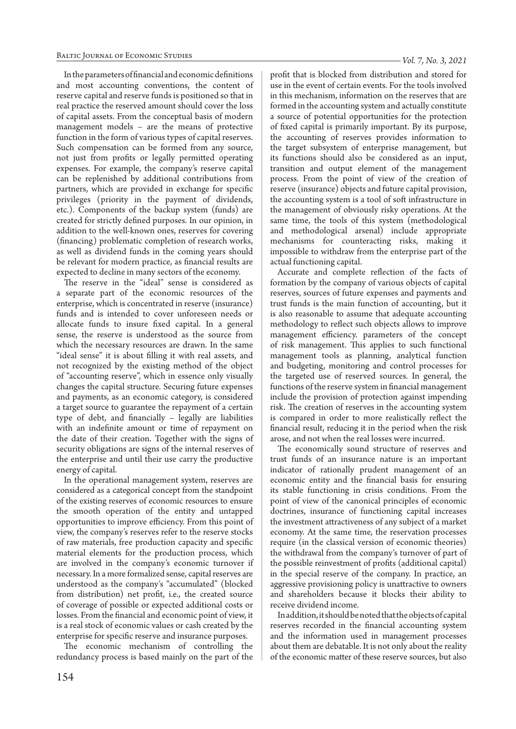In the parameters of financial and economic definitions and most accounting conventions, the content of reserve capital and reserve funds is positioned so that in real practice the reserved amount should cover the loss of capital assets. From the conceptual basis of modern management models – are the means of protective function in the form of various types of capital reserves. Such compensation can be formed from any source, not just from profits or legally permitted operating expenses. For example, the company's reserve capital can be replenished by additional contributions from partners, which are provided in exchange for specific privileges (priority in the payment of dividends, etc.). Components of the backup system (funds) are created for strictly defined purposes. In our opinion, in addition to the well-known ones, reserves for covering (financing) problematic completion of research works, as well as dividend funds in the coming years should be relevant for modern practice, as financial results are expected to decline in many sectors of the economy.

The reserve in the "ideal" sense is considered as a separate part of the economic resources of the enterprise, which is concentrated in reserve (insurance) funds and is intended to cover unforeseen needs or allocate funds to insure fixed capital. In a general sense, the reserve is understood as the source from which the necessary resources are drawn. In the same "ideal sense" it is about filling it with real assets, and not recognized by the existing method of the object of "accounting reserve", which in essence only visually changes the capital structure. Securing future expenses and payments, as an economic category, is considered a target source to guarantee the repayment of a certain type of debt, and financially – legally are liabilities with an indefinite amount or time of repayment on the date of their creation. Together with the signs of security obligations are signs of the internal reserves of the enterprise and until their use carry the productive energy of capital.

In the operational management system, reserves are considered as a categorical concept from the standpoint of the existing reserves of economic resources to ensure the smooth operation of the entity and untapped opportunities to improve efficiency. From this point of view, the company's reserves refer to the reserve stocks of raw materials, free production capacity and specific material elements for the production process, which are involved in the company's economic turnover if necessary. In a more formalized sense, capital reserves are understood as the company's "accumulated" (blocked from distribution) net profit, i.e., the created source of coverage of possible or expected additional costs or losses. From the financial and economic point of view, it is a real stock of economic values or cash created by the enterprise for specific reserve and insurance purposes.

The economic mechanism of controlling the redundancy process is based mainly on the part of the profit that is blocked from distribution and stored for use in the event of certain events. For the tools involved in this mechanism, information on the reserves that are formed in the accounting system and actually constitute a source of potential opportunities for the protection of fixed capital is primarily important. By its purpose, the accounting of reserves provides information to the target subsystem of enterprise management, but its functions should also be considered as an input, transition and output element of the management process. From the point of view of the creation of reserve (insurance) objects and future capital provision, the accounting system is a tool of soft infrastructure in the management of obviously risky operations. At the same time, the tools of this system (methodological and methodological arsenal) include appropriate mechanisms for counteracting risks, making it impossible to withdraw from the enterprise part of the actual functioning capital.

Accurate and complete reflection of the facts of formation by the company of various objects of capital reserves, sources of future expenses and payments and trust funds is the main function of accounting, but it is also reasonable to assume that adequate accounting methodology to reflect such objects allows to improve management efficiency. parameters of the concept of risk management. This applies to such functional management tools as planning, analytical function and budgeting, monitoring and control processes for the targeted use of reserved sources. In general, the functions of the reserve system in financial management include the provision of protection against impending risk. The creation of reserves in the accounting system is compared in order to more realistically reflect the financial result, reducing it in the period when the risk arose, and not when the real losses were incurred.

The economically sound structure of reserves and trust funds of an insurance nature is an important indicator of rationally prudent management of an economic entity and the financial basis for ensuring its stable functioning in crisis conditions. From the point of view of the canonical principles of economic doctrines, insurance of functioning capital increases the investment attractiveness of any subject of a market economy. At the same time, the reservation processes require (in the classical version of economic theories) the withdrawal from the company's turnover of part of the possible reinvestment of profits (additional capital) in the special reserve of the company. In practice, an aggressive provisioning policy is unattractive to owners and shareholders because it blocks their ability to receive dividend income.

In addition, it should be noted that the objects of capital reserves recorded in the financial accounting system and the information used in management processes about them are debatable. It is not only about the reality of the economic matter of these reserve sources, but also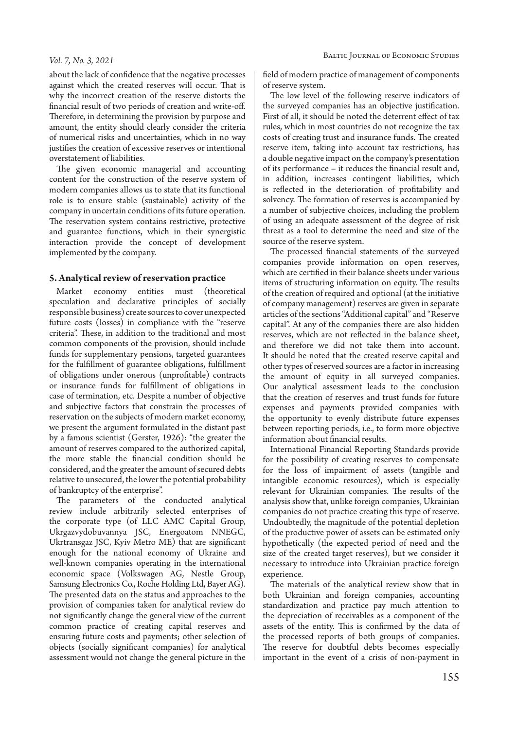#### *Vol. 7, No. 3, 2021*

about the lack of confidence that the negative processes against which the created reserves will occur. That is why the incorrect creation of the reserve distorts the financial result of two periods of creation and write-off. Therefore, in determining the provision by purpose and amount, the entity should clearly consider the criteria of numerical risks and uncertainties, which in no way justifies the creation of excessive reserves or intentional overstatement of liabilities.

The given economic managerial and accounting content for the construction of the reserve system of modern companies allows us to state that its functional role is to ensure stable (sustainable) activity of the company in uncertain conditions of its future operation. The reservation system contains restrictive, protective and guarantee functions, which in their synergistic interaction provide the concept of development implemented by the company.

#### **5. Analytical review of reservation practice**

Market economy entities must (theoretical speculation and declarative principles of socially responsible business) create sources to cover unexpected future costs (losses) in compliance with the "reserve criteria". These, in addition to the traditional and most common components of the provision, should include funds for supplementary pensions, targeted guarantees for the fulfillment of guarantee obligations, fulfillment of obligations under onerous (unprofitable) contracts or insurance funds for fulfillment of obligations in case of termination, etc. Despite a number of objective and subjective factors that constrain the processes of reservation on the subjects of modern market economy, we present the argument formulated in the distant past by a famous scientist (Gerster, 1926): "the greater the amount of reserves compared to the authorized capital, the more stable the financial condition should be considered, and the greater the amount of secured debts relative to unsecured, the lower the potential probability of bankruptcy of the enterprise".

The parameters of the conducted analytical review include arbitrarily selected enterprises of the corporate type (of LLC AMC Capital Group, Ukrgazvydobuvannya JSC, Energoatom NNEGC, Ukrtransgaz JSC, Kyiv Metro ME) that are significant enough for the national economy of Ukraine and well-known companies operating in the international economic space (Volkswagen AG, Nestle Group, Samsung Electronics Co., Roche Holding Ltd, Bayer AG). The presented data on the status and approaches to the provision of companies taken for analytical review do not significantly change the general view of the current common practice of creating capital reserves and ensuring future costs and payments; other selection of objects (socially significant companies) for analytical assessment would not change the general picture in the field of modern practice of management of components of reserve system.

The low level of the following reserve indicators of the surveyed companies has an objective justification. First of all, it should be noted the deterrent effect of tax rules, which in most countries do not recognize the tax costs of creating trust and insurance funds. The created reserve item, taking into account tax restrictions, has a double negative impact on the company's presentation of its performance – it reduces the financial result and, in addition, increases contingent liabilities, which is reflected in the deterioration of profitability and solvency. The formation of reserves is accompanied by a number of subjective choices, including the problem of using an adequate assessment of the degree of risk threat as a tool to determine the need and size of the source of the reserve system.

The processed financial statements of the surveyed companies provide information on open reserves, which are certified in their balance sheets under various items of structuring information on equity. The results of the creation of required and optional (at the initiative of company management) reserves are given in separate articles of the sections "Additional capital" and "Reserve capital". At any of the companies there are also hidden reserves, which are not reflected in the balance sheet, and therefore we did not take them into account. It should be noted that the created reserve capital and other types of reserved sources are a factor in increasing the amount of equity in all surveyed companies. Our analytical assessment leads to the conclusion that the creation of reserves and trust funds for future expenses and payments provided companies with the opportunity to evenly distribute future expenses between reporting periods, i.e., to form more objective information about financial results.

International Financial Reporting Standards provide for the possibility of creating reserves to compensate for the loss of impairment of assets (tangible and intangible economic resources), which is especially relevant for Ukrainian companies. The results of the analysis show that, unlike foreign companies, Ukrainian companies do not practice creating this type of reserve. Undoubtedly, the magnitude of the potential depletion of the productive power of assets can be estimated only hypothetically (the expected period of need and the size of the created target reserves), but we consider it necessary to introduce into Ukrainian practice foreign experience.

The materials of the analytical review show that in both Ukrainian and foreign companies, accounting standardization and practice pay much attention to the depreciation of receivables as a component of the assets of the entity. This is confirmed by the data of the processed reports of both groups of companies. The reserve for doubtful debts becomes especially important in the event of a crisis of non-payment in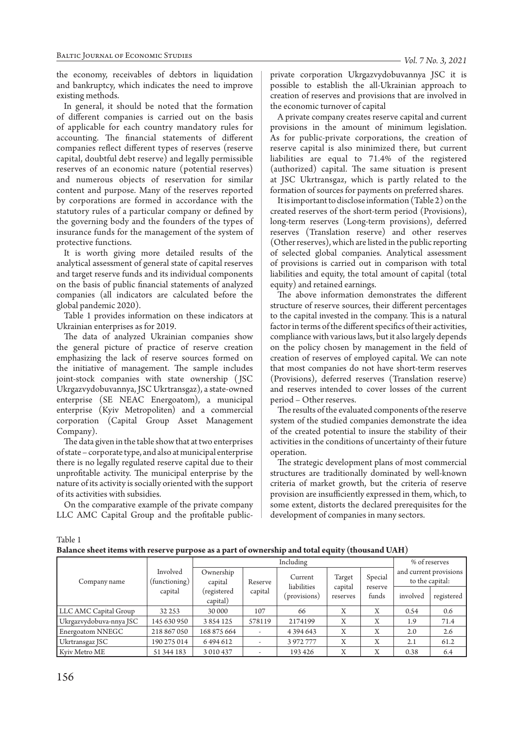the economy, receivables of debtors in liquidation and bankruptcy, which indicates the need to improve existing methods.

In general, it should be noted that the formation of different companies is carried out on the basis of applicable for each country mandatory rules for accounting. The financial statements of different companies reflect different types of reserves (reserve capital, doubtful debt reserve) and legally permissible reserves of an economic nature (potential reserves) and numerous objects of reservation for similar content and purpose. Many of the reserves reported by corporations are formed in accordance with the statutory rules of a particular company or defined by the governing body and the founders of the types of insurance funds for the management of the system of protective functions.

It is worth giving more detailed results of the analytical assessment of general state of capital reserves and target reserve funds and its individual components on the basis of public financial statements of analyzed companies (all indicators are calculated before the global pandemic 2020).

Table 1 provides information on these indicators at Ukrainian enterprises as for 2019.

The data of analyzed Ukrainian companies show the general picture of practice of reserve creation emphasizing the lack of reserve sources formed on the initiative of management. The sample includes joint-stock companies with state ownership ( JSC Ukrgazvydobuvannya, JSC Ukrtransgaz), a state-owned enterprise (SE NEAС Energoatom), a municipal enterprise (Kyiv Metropoliten) and a commercial corporation (Capital Group Asset Management Company).

The data given in the table show that at two enterprises of state – corporate type, and also at municipal enterprise there is no legally regulated reserve capital due to their unprofitable activity. The municipal enterprise by the nature of its activity is socially oriented with the support of its activities with subsidies.

On the comparative example of the private company LLC AMC Capital Group and the profitable publicprivate corporation Ukrgazvydobuvannya JSC it is possible to establish the all-Ukrainian approach to creation of reserves and provisions that are involved in the economic turnover of capital

A private company creates reserve capital and current provisions in the amount of minimum legislation. As for public-private corporations, the creation of reserve capital is also minimized there, but current liabilities are equal to 71.4% of the registered (authorized) capital. The same situation is present at JSC Ukrtransgaz, which is partly related to the formation of sources for payments on preferred shares.

It is important to disclose information (Table 2) on the created reserves of the short-term period (Provisions), long-term reserves (Long-term provisions), deferred reserves (Translation reserve) and other reserves (Other reserves), which are listed in the public reporting of selected global companies. Analytical assessment of provisions is carried out in comparison with total liabilities and equity, the total amount of capital (total equity) and retained earnings.

The above information demonstrates the different structure of reserve sources, their different percentages to the capital invested in the company. This is a natural factor in terms of the different specifics of their activities, compliance with various laws, but it also largely depends on the policy chosen by management in the field of creation of reserves of employed capital. We can note that most companies do not have short-term reserves (Provisions), deferred reserves (Translation reserve) and reserves intended to cover losses of the current period – Other reserves.

The results of the evaluated components of the reserve system of the studied companies demonstrate the idea of the created potential to insure the stability of their activities in the conditions of uncertainty of their future operation.

The strategic development plans of most commercial structures are traditionally dominated by well-known criteria of market growth, but the criteria of reserve provision are insufficiently expressed in them, which, to some extent, distorts the declared prerequisites for the development of companies in many sectors.

Table 1

| Balance sheet items with reserve purpose as a part of ownership and total equity (thousand UAH) $\,$ |  |  |  |
|------------------------------------------------------------------------------------------------------|--|--|--|
|------------------------------------------------------------------------------------------------------|--|--|--|

|                         |                                      |                                                 |                    |                                        | $\blacksquare$                |                             |                                           |            |
|-------------------------|--------------------------------------|-------------------------------------------------|--------------------|----------------------------------------|-------------------------------|-----------------------------|-------------------------------------------|------------|
|                         |                                      | Including                                       |                    |                                        |                               |                             | % of reserves                             |            |
| Company name            | Involved<br>(functioning)<br>capital | Ownership<br>capital<br>(registered<br>capital) | Reserve<br>capital | Current<br>liabilities<br>(provisions) | Target<br>capital<br>reserves | Special<br>reserve<br>funds | and current provisions<br>to the capital: |            |
|                         |                                      |                                                 |                    |                                        |                               |                             | involved                                  | registered |
| LLC AMC Capital Group   | 32 2 5 3                             | 30 000                                          | 107                | 66                                     | X                             | X                           | 0.54                                      | 0.6        |
| Ukrgazvydobuva-nnya JSC | 145 630 950                          | 3854125                                         | 578119             | 2174199                                | Х                             | Χ                           | 1.9                                       | 71.4       |
| Energoatom NNEGC        | 218 867 050                          | 168 875 664                                     |                    | 4 3 9 4 6 4 3                          | Х                             | Χ                           | 2.0                                       | 2.6        |
| Ukrtransgaz JSC         | 190 275 014                          | 6494612                                         |                    | 3 972 777                              | X                             | X                           | 2.1                                       | 61.2       |
| Kyiv Metro ME           | 51 344 183                           | 3 0 1 0 4 3 7                                   |                    | 193426                                 | Χ                             | Χ                           | 0.38                                      | 6.4        |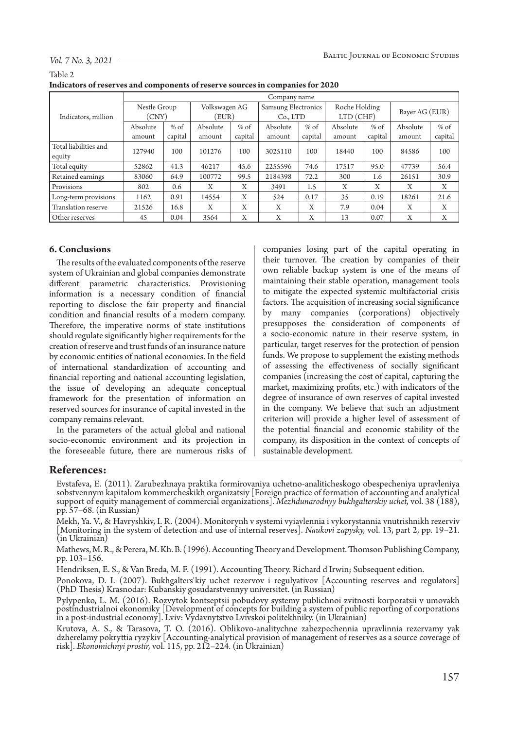#### *Vol. 7 No. 3, 2021*

|         | Indicators of reserves and components of reserve sources in companies for 2020 |  |
|---------|--------------------------------------------------------------------------------|--|
| Table 2 |                                                                                |  |
|         |                                                                                |  |

|                       | Company name |         |               |         |                     |         |               |         |                |         |
|-----------------------|--------------|---------|---------------|---------|---------------------|---------|---------------|---------|----------------|---------|
|                       | Nestle Group |         | Volkswagen AG |         | Samsung Electronics |         | Roche Holding |         | Bayer AG (EUR) |         |
| Indicators, million   | (CNY)        |         | (EUR)         |         | Co., LTD            |         | $LTD$ (CHF)   |         |                |         |
|                       | Absolute     | $%$ of  | Absolute      | $%$ of  | Absolute            | $%$ of  | Absolute      | $%$ of  | Absolute       | $%$ of  |
|                       | amount       | capital | amount        | capital | amount              | capital | amount        | capital | amount         | capital |
| Total liabilities and | 127940       | 100     | 101276        | 100     | 3025110             | 100     | 18440         | 100     | 84586          | 100     |
| equity                |              |         |               |         |                     |         |               |         |                |         |
| Total equity          | 52862        | 41.3    | 46217         | 45.6    | 2255596             | 74.6    | 17517         | 95.0    | 47739          | 56.4    |
| Retained earnings     | 83060        | 64.9    | 100772        | 99.5    | 2184398             | 72.2    | 300           | 1.6     | 26151          | 30.9    |
| Provisions            | 802          | 0.6     | X             | Х       | 3491                | 1.5     | X             | X       | X              | X       |
| Long-term provisions  | 1162         | 0.91    | 14554         | X       | 524                 | 0.17    | 35            | 0.19    | 18261          | 21.6    |
| Translation reserve   | 21526        | 16.8    | X             | X       | X                   | X       | 7.9           | 0.04    | X              | X       |
| Other reserves        | 45           | 0.04    | 3564          | X       | X                   | X       | 13            | 0.07    | X              | X       |

### **6. Conclusions**

The results of the evaluated components of the reserve system of Ukrainian and global companies demonstrate different parametric characteristics. Provisioning information is a necessary condition of financial reporting to disclose the fair property and financial condition and financial results of a modern company. Therefore, the imperative norms of state institutions should regulate significantly higher requirements for the creation of reserve and trust funds of an insurance nature by economic entities of national economies. In the field of international standardization of accounting and financial reporting and national accounting legislation, the issue of developing an adequate conceptual framework for the presentation of information on reserved sources for insurance of capital invested in the company remains relevant.

In the parameters of the actual global and national socio-economic environment and its projection in the foreseeable future, there are numerous risks of companies losing part of the capital operating in their turnover. The creation by companies of their own reliable backup system is one of the means of maintaining their stable operation, management tools to mitigate the expected systemic multifactorial crisis factors. The acquisition of increasing social significance by many companies (corporations) objectively presupposes the consideration of components of a socio-economic nature in their reserve system, in particular, target reserves for the protection of pension funds. We propose to supplement the existing methods of assessing the effectiveness of socially significant companies (increasing the cost of capital, capturing the market, maximizing profits, etc.) with indicators of the degree of insurance of own reserves of capital invested in the company. We believe that such an adjustment criterion will provide a higher level of assessment of the potential financial and economic stability of the company, its disposition in the context of concepts of sustainable development.

## **References:**

Evstafeva, E. (2011). Zarubezhnaya praktika formirovaniya uchetno-analiticheskogo obespecheniya upravleniya sobstvennym kapitalom kommercheskikh organizatsiy [Foreign practice of formation of accounting and analytical support of equity management of commercial organizations]. *Mezhdunarodnyy bukhgalterskiy uchet,* vol. 38 (188), pp. 57–68. (in Russian)

Mekh, Ya. V., & Havryshkiv, I. R. (2004). Monitorynh v systemi vyiavlennia i vykorystannia vnutrishnikh rezerviv [Monitoring in the system of detection and use of internal reserves]. *Naukovi zapysky,* vol. 13, part 2, pp. 19–21. (in Ukrainian)

Mathews, M. R., & Perera, M. Kh. B. (1996). Accounting Theory and Development. Thomson Publishing Company, pp. 103–156.

Hendriksen, E. S., & Van Breda, M. F. (1991). Accounting Theory. Richard d Irwin; Subsequent edition.

Ponokova, D. I. (2007). Bukhgalters'kiy uchet rezervov i regulyativov [Accounting reserves and regulators] (PhD Thesis) Krasnodar: Kubanskiy gosudarstvennyy universitet. (in Russian)

Pylypenko, L. M. (2016). Rozvytok kontseptsii pobudovy systemy publichnoi zvitnosti korporatsii v umovakh postindustrialnoi ekonomiky [Development of concepts for building a system of public reporting of corporations in a post-industrial economy]. Lviv: Vydavnytstvo Lvivskoi politekhniky. (in Ukrainian)

Krutova, A. S., & Tarasova, T. O. (2016). Oblikovo-analitychne zabezpechennia upravlinnia rezervamy yak dzherelamy pokryttia ryzykiv [Accounting-analytical provision of management of reserves as a source coverage of risk]. *Ekonomichnyi prostir,* vol. 115, pp. 212–224. (in Ukrainian)